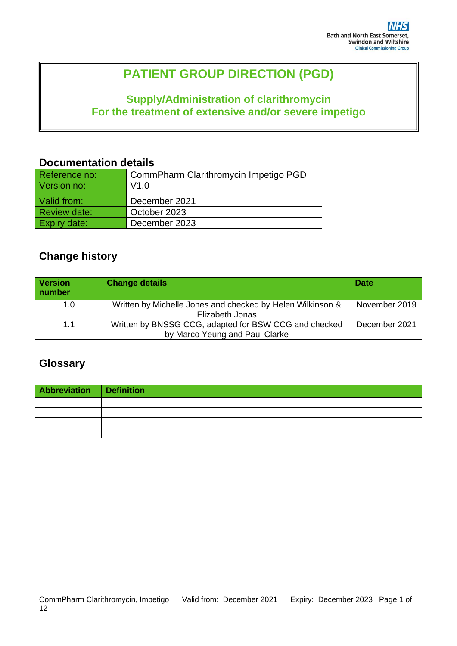# **PATIENT GROUP DIRECTION (PGD)**

# **Supply/Administration of clarithromycin For the treatment of extensive and/or severe impetigo**

### **Documentation details**

| Reference no: | CommPharm Clarithromycin Impetigo PGD |
|---------------|---------------------------------------|
| Version no:   | V1.0                                  |
| Valid from:   | December 2021                         |
| Review date:  | October 2023                          |
| Expiry date:  | December 2023                         |

# **Change history**

| <b>Version</b><br>number | <b>Change details</b>                                      | <b>Date</b>   |
|--------------------------|------------------------------------------------------------|---------------|
| 1.0                      | Written by Michelle Jones and checked by Helen Wilkinson & | November 2019 |
|                          | Elizabeth Jonas                                            |               |
| 1.1                      | Written by BNSSG CCG, adapted for BSW CCG and checked      | December 2021 |
|                          | by Marco Yeung and Paul Clarke                             |               |

## **Glossary**

| Abbreviation Definition |  |
|-------------------------|--|
|                         |  |
|                         |  |
|                         |  |
|                         |  |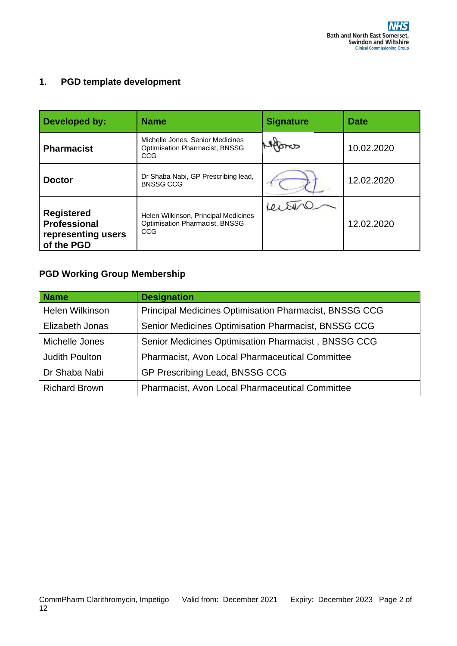## **1. PGD template development**

| Developed by:                                                         | <b>Name</b>                                                                      | <b>Signature</b> | <b>Date</b> |
|-----------------------------------------------------------------------|----------------------------------------------------------------------------------|------------------|-------------|
| <b>Pharmacist</b>                                                     | Michelle Jones, Senior Medicines<br><b>Optimisation Pharmacist, BNSSG</b><br>CCG |                  | 10.02.2020  |
| <b>Doctor</b>                                                         | Dr Shaba Nabi, GP Prescribing lead,<br><b>BNSSG CCG</b>                          |                  | 12.02.2020  |
| <b>Registered</b><br>Professional<br>representing users<br>of the PGD | Helen Wilkinson, Principal Medicines<br>Optimisation Pharmacist, BNSSG<br>CCG    |                  | 12.02.2020  |

### **PGD Working Group Membership**

| <b>Name</b>            | <b>Designation</b>                                            |
|------------------------|---------------------------------------------------------------|
| <b>Helen Wilkinson</b> | <b>Principal Medicines Optimisation Pharmacist, BNSSG CCG</b> |
| Elizabeth Jonas        | Senior Medicines Optimisation Pharmacist, BNSSG CCG           |
| Michelle Jones         | Senior Medicines Optimisation Pharmacist, BNSSG CCG           |
| <b>Judith Poulton</b>  | <b>Pharmacist, Avon Local Pharmaceutical Committee</b>        |
| Dr Shaba Nabi          | GP Prescribing Lead, BNSSG CCG                                |
| <b>Richard Brown</b>   | <b>Pharmacist, Avon Local Pharmaceutical Committee</b>        |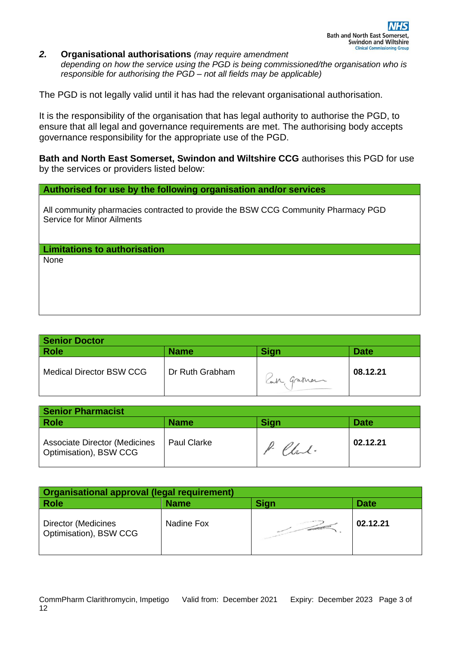*2.* **Organisational authorisations** *(may require amendment depending on how the service using the PGD is being commissioned/the organisation who is responsible for authorising the PGD – not all fields may be applicable)* 

The PGD is not legally valid until it has had the relevant organisational authorisation.

It is the responsibility of the organisation that has legal authority to authorise the PGD, to ensure that all legal and governance requirements are met. The authorising body accepts governance responsibility for the appropriate use of the PGD.

**Bath and North East Somerset, Swindon and Wiltshire CCG** authorises this PGD for use by the services or providers listed below:

**Authorised for use by the following organisation and/or services**

All community pharmacies contracted to provide the BSW CCG Community Pharmacy PGD Service for Minor Ailments

**Limitations to authorisation**

None

| <b>Senior Doctor</b>            |                 |            |             |
|---------------------------------|-----------------|------------|-------------|
| <b>Role</b>                     | <b>Name</b>     | Sign       | <b>Date</b> |
| <b>Medical Director BSW CCG</b> | Dr Ruth Grabham | Can graman | 08.12.21    |

| <b>Senior Pharmacist</b>                                       |                    |             |             |
|----------------------------------------------------------------|--------------------|-------------|-------------|
| Role                                                           | <b>Name</b>        | <b>Sign</b> | <b>Date</b> |
| <b>Associate Director (Medicines</b><br>Optimisation), BSW CCG | <b>Paul Clarke</b> | P. Chal.    | 02.12.21    |

| <b>Organisational approval (legal requirement)</b> |             |                   |             |
|----------------------------------------------------|-------------|-------------------|-------------|
| <b>Role</b>                                        | <b>Name</b> | <b>Sign</b>       | <b>Date</b> |
| Director (Medicines<br>Optimisation), BSW CCG      | Nadine Fox  | <b>CONTRACTOR</b> | 02.12.21    |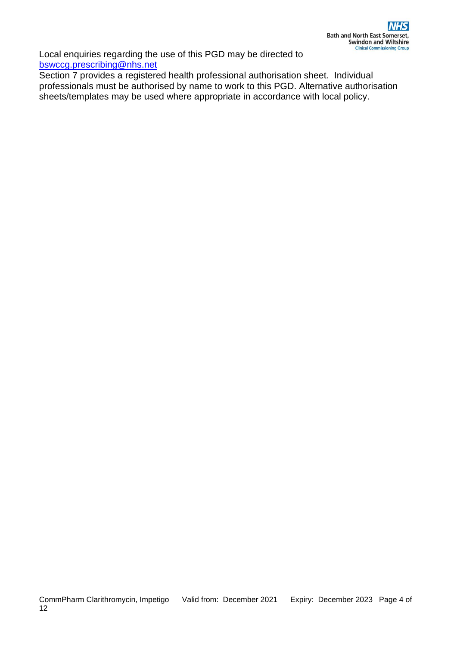Local enquiries regarding the use of this PGD may be directed to [bswccg.prescribing@nhs.net](mailto:bswccg.prescribing@nhs.net)

Section 7 provides a registered health professional authorisation sheet. Individual professionals must be authorised by name to work to this PGD. Alternative authorisation sheets/templates may be used where appropriate in accordance with local policy.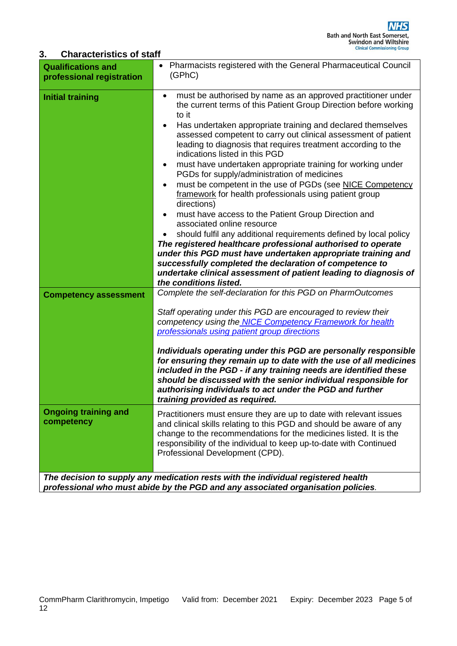#### **3. Characteristics of staff**

| <b>Qualifications and</b><br>professional registration | Pharmacists registered with the General Pharmaceutical Council<br>(GPhC)                                                                                                                                                                                                                                                                                                                                                                                                                                                                                                                                                                                                                                                                                                                                                                                                                                                                                                                                                                                                                                                    |
|--------------------------------------------------------|-----------------------------------------------------------------------------------------------------------------------------------------------------------------------------------------------------------------------------------------------------------------------------------------------------------------------------------------------------------------------------------------------------------------------------------------------------------------------------------------------------------------------------------------------------------------------------------------------------------------------------------------------------------------------------------------------------------------------------------------------------------------------------------------------------------------------------------------------------------------------------------------------------------------------------------------------------------------------------------------------------------------------------------------------------------------------------------------------------------------------------|
| <b>Initial training</b>                                | must be authorised by name as an approved practitioner under<br>$\bullet$<br>the current terms of this Patient Group Direction before working<br>to it<br>Has undertaken appropriate training and declared themselves<br>$\bullet$<br>assessed competent to carry out clinical assessment of patient<br>leading to diagnosis that requires treatment according to the<br>indications listed in this PGD<br>must have undertaken appropriate training for working under<br>$\bullet$<br>PGDs for supply/administration of medicines<br>must be competent in the use of PGDs (see NICE Competency<br>framework for health professionals using patient group<br>directions)<br>must have access to the Patient Group Direction and<br>associated online resource<br>should fulfil any additional requirements defined by local policy<br>The registered healthcare professional authorised to operate<br>under this PGD must have undertaken appropriate training and<br>successfully completed the declaration of competence to<br>undertake clinical assessment of patient leading to diagnosis of<br>the conditions listed. |
| <b>Competency assessment</b>                           | Complete the self-declaration for this PGD on PharmOutcomes<br>Staff operating under this PGD are encouraged to review their<br>competency using the NICE Competency Framework for health<br>professionals using patient group directions<br>Individuals operating under this PGD are personally responsible<br>for ensuring they remain up to date with the use of all medicines<br>included in the PGD - if any training needs are identified these<br>should be discussed with the senior individual responsible for<br>authorising individuals to act under the PGD and further<br>training provided as required.                                                                                                                                                                                                                                                                                                                                                                                                                                                                                                       |
| <b>Ongoing training and</b><br>competency              | Practitioners must ensure they are up to date with relevant issues<br>and clinical skills relating to this PGD and should be aware of any<br>change to the recommendations for the medicines listed. It is the<br>responsibility of the individual to keep up-to-date with Continued<br>Professional Development (CPD).                                                                                                                                                                                                                                                                                                                                                                                                                                                                                                                                                                                                                                                                                                                                                                                                     |
|                                                        | The decision to supply any medication rests with the individual registered health<br>professional who must abide by the PGD and any associated organisation policies.                                                                                                                                                                                                                                                                                                                                                                                                                                                                                                                                                                                                                                                                                                                                                                                                                                                                                                                                                       |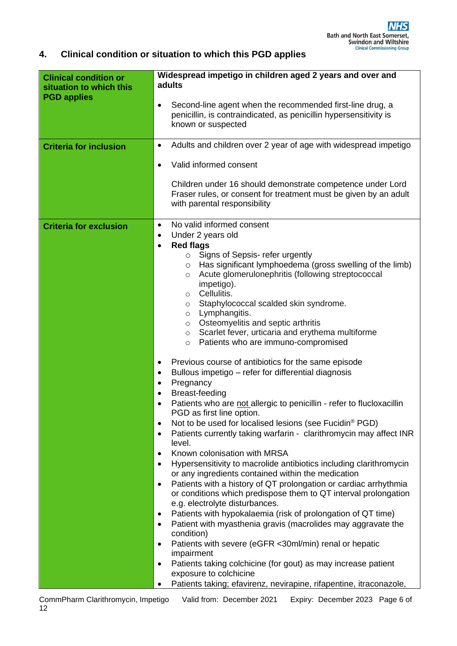### **4. Clinical condition or situation to which this PGD applies**

| <b>Clinical condition or</b><br>situation to which this<br><b>PGD applies</b> | Widespread impetigo in children aged 2 years and over and<br>adults                                                                                                                                                                                                                                                                                                                                                                                                                                                                                                                                                                                                                                                                                                                                                                                                                                                                                 |  |
|-------------------------------------------------------------------------------|-----------------------------------------------------------------------------------------------------------------------------------------------------------------------------------------------------------------------------------------------------------------------------------------------------------------------------------------------------------------------------------------------------------------------------------------------------------------------------------------------------------------------------------------------------------------------------------------------------------------------------------------------------------------------------------------------------------------------------------------------------------------------------------------------------------------------------------------------------------------------------------------------------------------------------------------------------|--|
|                                                                               | Second-line agent when the recommended first-line drug, a<br>$\bullet$<br>penicillin, is contraindicated, as penicillin hypersensitivity is<br>known or suspected                                                                                                                                                                                                                                                                                                                                                                                                                                                                                                                                                                                                                                                                                                                                                                                   |  |
| <b>Criteria for inclusion</b>                                                 | Adults and children over 2 year of age with widespread impetigo<br>$\bullet$                                                                                                                                                                                                                                                                                                                                                                                                                                                                                                                                                                                                                                                                                                                                                                                                                                                                        |  |
|                                                                               | Valid informed consent<br>$\bullet$                                                                                                                                                                                                                                                                                                                                                                                                                                                                                                                                                                                                                                                                                                                                                                                                                                                                                                                 |  |
|                                                                               | Children under 16 should demonstrate competence under Lord<br>Fraser rules, or consent for treatment must be given by an adult<br>with parental responsibility                                                                                                                                                                                                                                                                                                                                                                                                                                                                                                                                                                                                                                                                                                                                                                                      |  |
| <b>Criteria for exclusion</b>                                                 | No valid informed consent<br>$\bullet$<br>Under 2 years old<br>$\bullet$<br><b>Red flags</b><br>$\bullet$<br>Signs of Sepsis- refer urgently<br>$\circ$<br>Has significant lymphoedema (gross swelling of the limb)<br>O<br>Acute glomerulonephritis (following streptococcal<br>O<br>impetigo).<br>Cellulitis.<br>O<br>Staphylococcal scalded skin syndrome.<br>O<br>Lymphangitis.<br>$\circ$<br>Osteomyelitis and septic arthritis<br>$\circ$<br>Scarlet fever, urticaria and erythema multiforme<br>$\circ$<br>Patients who are immuno-compromised<br>$\circ$<br>Previous course of antibiotics for the same episode<br>٠<br>Bullous impetigo - refer for differential diagnosis<br>$\bullet$<br>Pregnancy<br>$\bullet$<br>Breast-feeding<br>$\bullet$<br>Patients who are not allergic to penicillin - refer to flucloxacillin<br>PGD as first line option.<br>Not to be used for localised lesions (see Fucidin <sup>®</sup> PGD)<br>$\bullet$ |  |
|                                                                               | Patients currently taking warfarin - clarithromycin may affect INR<br>$\bullet$<br>level.                                                                                                                                                                                                                                                                                                                                                                                                                                                                                                                                                                                                                                                                                                                                                                                                                                                           |  |
|                                                                               | Known colonisation with MRSA<br>$\bullet$<br>Hypersensitivity to macrolide antibiotics including clarithromycin<br>$\bullet$                                                                                                                                                                                                                                                                                                                                                                                                                                                                                                                                                                                                                                                                                                                                                                                                                        |  |
|                                                                               | or any ingredients contained within the medication<br>Patients with a history of QT prolongation or cardiac arrhythmia<br>$\bullet$<br>or conditions which predispose them to QT interval prolongation<br>e.g. electrolyte disturbances.                                                                                                                                                                                                                                                                                                                                                                                                                                                                                                                                                                                                                                                                                                            |  |
|                                                                               | Patients with hypokalaemia (risk of prolongation of QT time)<br>٠<br>Patient with myasthenia gravis (macrolides may aggravate the<br>$\bullet$<br>condition)                                                                                                                                                                                                                                                                                                                                                                                                                                                                                                                                                                                                                                                                                                                                                                                        |  |
|                                                                               | Patients with severe (eGFR <30ml/min) renal or hepatic<br>$\bullet$<br>impairment                                                                                                                                                                                                                                                                                                                                                                                                                                                                                                                                                                                                                                                                                                                                                                                                                                                                   |  |
|                                                                               | Patients taking colchicine (for gout) as may increase patient<br>$\bullet$<br>exposure to colchicine                                                                                                                                                                                                                                                                                                                                                                                                                                                                                                                                                                                                                                                                                                                                                                                                                                                |  |
|                                                                               | Patients taking; efavirenz, nevirapine, rifapentine, itraconazole,                                                                                                                                                                                                                                                                                                                                                                                                                                                                                                                                                                                                                                                                                                                                                                                                                                                                                  |  |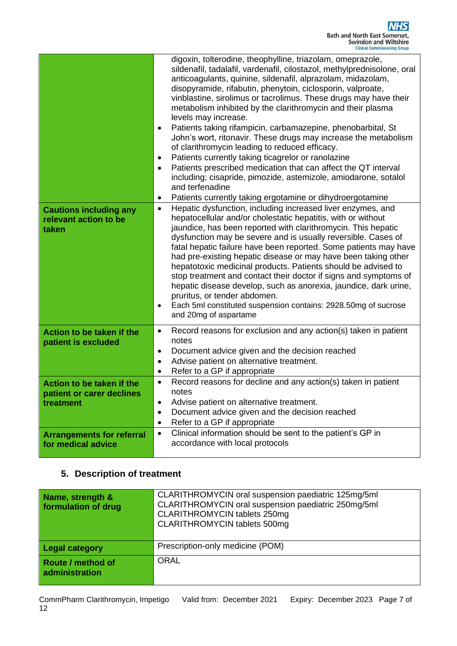|                                                  | digoxin, tolterodine, theophylline, triazolam, omeprazole,<br>sildenafil, tadalafil, vardenafil, cilostazol, methylprednisolone, oral<br>anticoagulants, quinine, sildenafil, alprazolam, midazolam,<br>disopyramide, rifabutin, phenytoin, ciclosporin, valproate,<br>vinblastine, sirolimus or tacrolimus. These drugs may have their<br>metabolism inhibited by the clarithromycin and their plasma<br>levels may increase.<br>Patients taking rifampicin, carbamazepine, phenobarbital, St<br>$\bullet$<br>John's wort, ritonavir. These drugs may increase the metabolism<br>of clarithromycin leading to reduced efficacy.<br>Patients currently taking ticagrelor or ranolazine<br>$\bullet$<br>Patients prescribed medication that can affect the QT interval<br>$\bullet$<br>including; cisapride, pimozide, astemizole, amiodarone, sotalol<br>and terfenadine<br>Patients currently taking ergotamine or dihydroergotamine<br>٠ |
|--------------------------------------------------|--------------------------------------------------------------------------------------------------------------------------------------------------------------------------------------------------------------------------------------------------------------------------------------------------------------------------------------------------------------------------------------------------------------------------------------------------------------------------------------------------------------------------------------------------------------------------------------------------------------------------------------------------------------------------------------------------------------------------------------------------------------------------------------------------------------------------------------------------------------------------------------------------------------------------------------------|
| <b>Cautions including any</b>                    | Hepatic dysfunction, including increased liver enzymes, and<br>$\bullet$<br>hepatocellular and/or cholestatic hepatitis, with or without                                                                                                                                                                                                                                                                                                                                                                                                                                                                                                                                                                                                                                                                                                                                                                                                   |
| relevant action to be<br>taken                   | jaundice, has been reported with clarithromycin. This hepatic                                                                                                                                                                                                                                                                                                                                                                                                                                                                                                                                                                                                                                                                                                                                                                                                                                                                              |
|                                                  | dysfunction may be severe and is usually reversible. Cases of                                                                                                                                                                                                                                                                                                                                                                                                                                                                                                                                                                                                                                                                                                                                                                                                                                                                              |
|                                                  | fatal hepatic failure have been reported. Some patients may have<br>had pre-existing hepatic disease or may have been taking other                                                                                                                                                                                                                                                                                                                                                                                                                                                                                                                                                                                                                                                                                                                                                                                                         |
|                                                  | hepatotoxic medicinal products. Patients should be advised to                                                                                                                                                                                                                                                                                                                                                                                                                                                                                                                                                                                                                                                                                                                                                                                                                                                                              |
|                                                  | stop treatment and contact their doctor if signs and symptoms of<br>hepatic disease develop, such as anorexia, jaundice, dark urine,                                                                                                                                                                                                                                                                                                                                                                                                                                                                                                                                                                                                                                                                                                                                                                                                       |
|                                                  | pruritus, or tender abdomen.                                                                                                                                                                                                                                                                                                                                                                                                                                                                                                                                                                                                                                                                                                                                                                                                                                                                                                               |
|                                                  | Each 5ml constituted suspension contains: 2928.50mg of sucrose<br>$\bullet$<br>and 20mg of aspartame                                                                                                                                                                                                                                                                                                                                                                                                                                                                                                                                                                                                                                                                                                                                                                                                                                       |
|                                                  |                                                                                                                                                                                                                                                                                                                                                                                                                                                                                                                                                                                                                                                                                                                                                                                                                                                                                                                                            |
| Action to be taken if the<br>patient is excluded | Record reasons for exclusion and any action(s) taken in patient<br>$\bullet$<br>notes                                                                                                                                                                                                                                                                                                                                                                                                                                                                                                                                                                                                                                                                                                                                                                                                                                                      |
|                                                  | Document advice given and the decision reached<br>$\bullet$                                                                                                                                                                                                                                                                                                                                                                                                                                                                                                                                                                                                                                                                                                                                                                                                                                                                                |
|                                                  | Advise patient on alternative treatment.<br>$\bullet$<br>Refer to a GP if appropriate<br>$\bullet$                                                                                                                                                                                                                                                                                                                                                                                                                                                                                                                                                                                                                                                                                                                                                                                                                                         |
| Action to be taken if the                        | Record reasons for decline and any action(s) taken in patient<br>$\bullet$                                                                                                                                                                                                                                                                                                                                                                                                                                                                                                                                                                                                                                                                                                                                                                                                                                                                 |
| patient or carer declines                        | notes                                                                                                                                                                                                                                                                                                                                                                                                                                                                                                                                                                                                                                                                                                                                                                                                                                                                                                                                      |
| treatment                                        | Advise patient on alternative treatment.<br>$\bullet$                                                                                                                                                                                                                                                                                                                                                                                                                                                                                                                                                                                                                                                                                                                                                                                                                                                                                      |
|                                                  | Document advice given and the decision reached<br>$\bullet$<br>Refer to a GP if appropriate<br>$\bullet$                                                                                                                                                                                                                                                                                                                                                                                                                                                                                                                                                                                                                                                                                                                                                                                                                                   |
| <b>Arrangements for referral</b>                 | Clinical information should be sent to the patient's GP in<br>$\bullet$                                                                                                                                                                                                                                                                                                                                                                                                                                                                                                                                                                                                                                                                                                                                                                                                                                                                    |
| for medical advice                               | accordance with local protocols                                                                                                                                                                                                                                                                                                                                                                                                                                                                                                                                                                                                                                                                                                                                                                                                                                                                                                            |
|                                                  |                                                                                                                                                                                                                                                                                                                                                                                                                                                                                                                                                                                                                                                                                                                                                                                                                                                                                                                                            |

## **5. Description of treatment**

| Name, strength &<br>formulation of drug | CLARITHROMYCIN oral suspension paediatric 125mg/5ml<br>CLARITHROMYCIN oral suspension paediatric 250mg/5ml<br>CLARITHROMYCIN tablets 250mg<br>CLARITHROMYCIN tablets 500mg |
|-----------------------------------------|----------------------------------------------------------------------------------------------------------------------------------------------------------------------------|
| <b>Legal category</b>                   | Prescription-only medicine (POM)                                                                                                                                           |
| Route / method of<br>administration     | <b>ORAL</b>                                                                                                                                                                |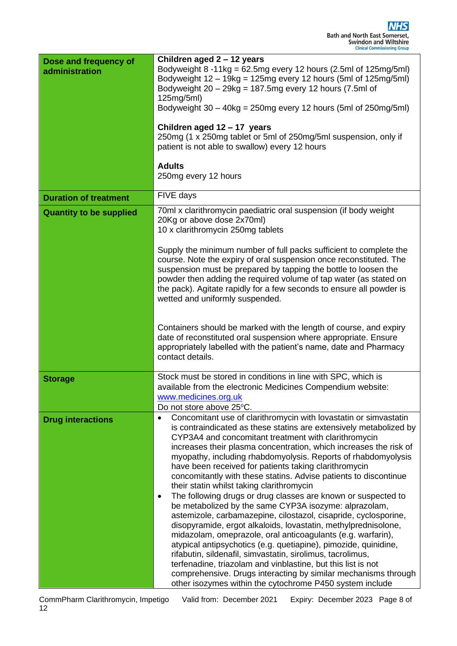| Dose and frequency of<br>administration | Children aged 2 - 12 years<br>Bodyweight $8 - 11$ kg = 62.5mg every 12 hours (2.5ml of 125mg/5ml)<br>Bodyweight $12 - 19$ kg = 125mg every 12 hours (5ml of 125mg/5ml)<br>Bodyweight $20 - 29$ kg = 187.5mg every 12 hours (7.5ml of<br>125mg/5ml)<br>Bodyweight $30 - 40$ kg = 250mg every 12 hours (5ml of 250mg/5ml)<br>Children aged 12 - 17 years<br>250mg (1 x 250mg tablet or 5ml of 250mg/5ml suspension, only if<br>patient is not able to swallow) every 12 hours<br><b>Adults</b><br>250mg every 12 hours                                                                                                                                                                                                                                                                                                                                                                                                                                                                                                                                                                                                                                                                                  |
|-----------------------------------------|-------------------------------------------------------------------------------------------------------------------------------------------------------------------------------------------------------------------------------------------------------------------------------------------------------------------------------------------------------------------------------------------------------------------------------------------------------------------------------------------------------------------------------------------------------------------------------------------------------------------------------------------------------------------------------------------------------------------------------------------------------------------------------------------------------------------------------------------------------------------------------------------------------------------------------------------------------------------------------------------------------------------------------------------------------------------------------------------------------------------------------------------------------------------------------------------------------|
| <b>Duration of treatment</b>            | FIVE days                                                                                                                                                                                                                                                                                                                                                                                                                                                                                                                                                                                                                                                                                                                                                                                                                                                                                                                                                                                                                                                                                                                                                                                             |
| <b>Quantity to be supplied</b>          | 70ml x clarithromycin paediatric oral suspension (if body weight<br>20Kg or above dose 2x70ml)<br>10 x clarithromycin 250mg tablets                                                                                                                                                                                                                                                                                                                                                                                                                                                                                                                                                                                                                                                                                                                                                                                                                                                                                                                                                                                                                                                                   |
|                                         | Supply the minimum number of full packs sufficient to complete the<br>course. Note the expiry of oral suspension once reconstituted. The<br>suspension must be prepared by tapping the bottle to loosen the<br>powder then adding the required volume of tap water (as stated on<br>the pack). Agitate rapidly for a few seconds to ensure all powder is<br>wetted and uniformly suspended.                                                                                                                                                                                                                                                                                                                                                                                                                                                                                                                                                                                                                                                                                                                                                                                                           |
|                                         | Containers should be marked with the length of course, and expiry<br>date of reconstituted oral suspension where appropriate. Ensure<br>appropriately labelled with the patient's name, date and Pharmacy<br>contact details.                                                                                                                                                                                                                                                                                                                                                                                                                                                                                                                                                                                                                                                                                                                                                                                                                                                                                                                                                                         |
| <b>Storage</b>                          | Stock must be stored in conditions in line with SPC, which is<br>available from the electronic Medicines Compendium website:<br>www.medicines.org.uk<br>Do not store above 25°C.                                                                                                                                                                                                                                                                                                                                                                                                                                                                                                                                                                                                                                                                                                                                                                                                                                                                                                                                                                                                                      |
| <b>Drug interactions</b>                | Concomitant use of clarithromycin with lovastatin or simvastatin<br>$\bullet$<br>is contraindicated as these statins are extensively metabolized by<br>CYP3A4 and concomitant treatment with clarithromycin<br>increases their plasma concentration, which increases the risk of<br>myopathy, including rhabdomyolysis. Reports of rhabdomyolysis<br>have been received for patients taking clarithromycin<br>concomitantly with these statins. Advise patients to discontinue<br>their statin whilst taking clarithromycin<br>The following drugs or drug classes are known or suspected to<br>$\bullet$<br>be metabolized by the same CYP3A isozyme: alprazolam,<br>astemizole, carbamazepine, cilostazol, cisapride, cyclosporine,<br>disopyramide, ergot alkaloids, lovastatin, methylprednisolone,<br>midazolam, omeprazole, oral anticoagulants (e.g. warfarin),<br>atypical antipsychotics (e.g. quetiapine), pimozide, quinidine,<br>rifabutin, sildenafil, simvastatin, sirolimus, tacrolimus,<br>terfenadine, triazolam and vinblastine, but this list is not<br>comprehensive. Drugs interacting by similar mechanisms through<br>other isozymes within the cytochrome P450 system include |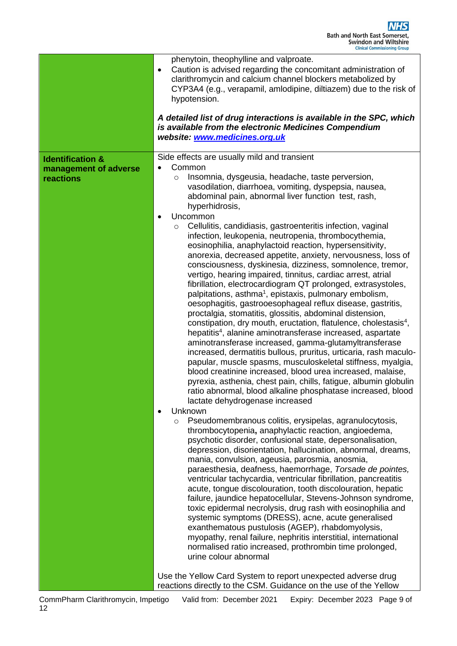|                                                                   | phenytoin, theophylline and valproate.<br>Caution is advised regarding the concomitant administration of<br>$\bullet$<br>clarithromycin and calcium channel blockers metabolized by<br>CYP3A4 (e.g., verapamil, amlodipine, diltiazem) due to the risk of<br>hypotension.<br>A detailed list of drug interactions is available in the SPC, which<br>is available from the electronic Medicines Compendium<br>website: www.medicines.org.uk                                                                                                                                                                                                                                                                                                                                                                                                                                                                                                                                                                                                                                                                                                                                                                                                                                                                                                                                                                                                                                                                                                                                                                                                                                                                                                                                                                                                                                                                                                                                                                                                                                                                                                                                                                                                                                                                                                                                                                                                                                                                                       |  |
|-------------------------------------------------------------------|----------------------------------------------------------------------------------------------------------------------------------------------------------------------------------------------------------------------------------------------------------------------------------------------------------------------------------------------------------------------------------------------------------------------------------------------------------------------------------------------------------------------------------------------------------------------------------------------------------------------------------------------------------------------------------------------------------------------------------------------------------------------------------------------------------------------------------------------------------------------------------------------------------------------------------------------------------------------------------------------------------------------------------------------------------------------------------------------------------------------------------------------------------------------------------------------------------------------------------------------------------------------------------------------------------------------------------------------------------------------------------------------------------------------------------------------------------------------------------------------------------------------------------------------------------------------------------------------------------------------------------------------------------------------------------------------------------------------------------------------------------------------------------------------------------------------------------------------------------------------------------------------------------------------------------------------------------------------------------------------------------------------------------------------------------------------------------------------------------------------------------------------------------------------------------------------------------------------------------------------------------------------------------------------------------------------------------------------------------------------------------------------------------------------------------------------------------------------------------------------------------------------------------|--|
| <b>Identification &amp;</b><br>management of adverse<br>reactions | Side effects are usually mild and transient<br>Common<br>Insomnia, dysgeusia, headache, taste perversion,<br>$\circ$<br>vasodilation, diarrhoea, vomiting, dyspepsia, nausea,<br>abdominal pain, abnormal liver function test, rash,<br>hyperhidrosis,<br>Uncommon<br>$\bullet$<br>Cellulitis, candidiasis, gastroenteritis infection, vaginal<br>$\circ$<br>infection, leukopenia, neutropenia, thrombocythemia,<br>eosinophilia, anaphylactoid reaction, hypersensitivity,<br>anorexia, decreased appetite, anxiety, nervousness, loss of<br>consciousness, dyskinesia, dizziness, somnolence, tremor,<br>vertigo, hearing impaired, tinnitus, cardiac arrest, atrial<br>fibrillation, electrocardiogram QT prolonged, extrasystoles,<br>palpitations, asthma <sup>1</sup> , epistaxis, pulmonary embolism,<br>oesophagitis, gastrooesophageal reflux disease, gastritis,<br>proctalgia, stomatitis, glossitis, abdominal distension,<br>constipation, dry mouth, eructation, flatulence, cholestasis <sup>4</sup> ,<br>hepatitis <sup>4</sup> , alanine aminotransferase increased, aspartate<br>aminotransferase increased, gamma-glutamyltransferase<br>increased, dermatitis bullous, pruritus, urticaria, rash maculo-<br>papular, muscle spasms, musculoskeletal stiffness, myalgia,<br>blood creatinine increased, blood urea increased, malaise,<br>pyrexia, asthenia, chest pain, chills, fatigue, albumin globulin<br>ratio abnormal, blood alkaline phosphatase increased, blood<br>lactate dehydrogenase increased<br>Unknown<br>$\bullet$<br>Pseudomembranous colitis, erysipelas, agranulocytosis,<br>$\circ$<br>thrombocytopenia, anaphylactic reaction, angioedema,<br>psychotic disorder, confusional state, depersonalisation,<br>depression, disorientation, hallucination, abnormal, dreams,<br>mania, convulsion, ageusia, parosmia, anosmia,<br>paraesthesia, deafness, haemorrhage, Torsade de pointes,<br>ventricular tachycardia, ventricular fibrillation, pancreatitis<br>acute, tongue discolouration, tooth discolouration, hepatic<br>failure, jaundice hepatocellular, Stevens-Johnson syndrome,<br>toxic epidermal necrolysis, drug rash with eosinophilia and<br>systemic symptoms (DRESS), acne, acute generalised<br>exanthematous pustulosis (AGEP), rhabdomyolysis,<br>myopathy, renal failure, nephritis interstitial, international<br>normalised ratio increased, prothrombin time prolonged,<br>urine colour abnormal<br>Use the Yellow Card System to report unexpected adverse drug |  |
|                                                                   | reactions directly to the CSM. Guidance on the use of the Yellow                                                                                                                                                                                                                                                                                                                                                                                                                                                                                                                                                                                                                                                                                                                                                                                                                                                                                                                                                                                                                                                                                                                                                                                                                                                                                                                                                                                                                                                                                                                                                                                                                                                                                                                                                                                                                                                                                                                                                                                                                                                                                                                                                                                                                                                                                                                                                                                                                                                                 |  |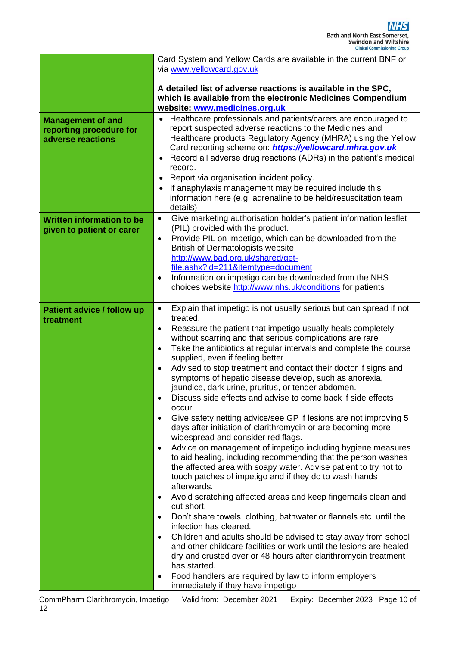|                                                     | Card System and Yellow Cards are available in the current BNF or                                                   |  |  |  |
|-----------------------------------------------------|--------------------------------------------------------------------------------------------------------------------|--|--|--|
|                                                     | via www.yellowcard.gov.uk                                                                                          |  |  |  |
|                                                     |                                                                                                                    |  |  |  |
|                                                     | A detailed list of adverse reactions is available in the SPC,                                                      |  |  |  |
|                                                     | which is available from the electronic Medicines Compendium<br>website: www.medicines.org.uk                       |  |  |  |
|                                                     | Healthcare professionals and patients/carers are encouraged to                                                     |  |  |  |
| <b>Management of and</b><br>reporting procedure for | report suspected adverse reactions to the Medicines and                                                            |  |  |  |
| adverse reactions                                   | Healthcare products Regulatory Agency (MHRA) using the Yellow                                                      |  |  |  |
|                                                     | Card reporting scheme on: https://yellowcard.mhra.gov.uk                                                           |  |  |  |
|                                                     | Record all adverse drug reactions (ADRs) in the patient's medical<br>$\bullet$                                     |  |  |  |
|                                                     | record.                                                                                                            |  |  |  |
|                                                     | Report via organisation incident policy.<br>٠                                                                      |  |  |  |
|                                                     | If anaphylaxis management may be required include this                                                             |  |  |  |
|                                                     | information here (e.g. adrenaline to be held/resuscitation team                                                    |  |  |  |
|                                                     | details)                                                                                                           |  |  |  |
| <b>Written information to be</b>                    | Give marketing authorisation holder's patient information leaflet<br>$\bullet$<br>(PIL) provided with the product. |  |  |  |
| given to patient or carer                           | Provide PIL on impetigo, which can be downloaded from the<br>$\bullet$                                             |  |  |  |
|                                                     | <b>British of Dermatologists website</b>                                                                           |  |  |  |
|                                                     | http://www.bad.org.uk/shared/get-                                                                                  |  |  |  |
|                                                     | file.ashx?id=211&itemtype=document                                                                                 |  |  |  |
|                                                     | Information on impetigo can be downloaded from the NHS<br>$\bullet$                                                |  |  |  |
|                                                     | choices website http://www.nhs.uk/conditions for patients                                                          |  |  |  |
|                                                     |                                                                                                                    |  |  |  |
| Patient advice / follow up                          | Explain that impetigo is not usually serious but can spread if not<br>$\bullet$<br>treated.                        |  |  |  |
| treatment                                           | Reassure the patient that impetigo usually heals completely<br>$\bullet$                                           |  |  |  |
|                                                     | without scarring and that serious complications are rare                                                           |  |  |  |
|                                                     | Take the antibiotics at regular intervals and complete the course<br>$\bullet$                                     |  |  |  |
|                                                     | supplied, even if feeling better                                                                                   |  |  |  |
|                                                     | Advised to stop treatment and contact their doctor if signs and<br>$\bullet$                                       |  |  |  |
|                                                     | symptoms of hepatic disease develop, such as anorexia,                                                             |  |  |  |
|                                                     | jaundice, dark urine, pruritus, or tender abdomen.                                                                 |  |  |  |
|                                                     | Discuss side effects and advise to come back if side effects<br>occur                                              |  |  |  |
|                                                     | Give safety netting advice/see GP if lesions are not improving 5<br>$\bullet$                                      |  |  |  |
|                                                     | days after initiation of clarithromycin or are becoming more                                                       |  |  |  |
|                                                     | widespread and consider red flags.                                                                                 |  |  |  |
|                                                     | Advice on management of impetigo including hygiene measures<br>$\bullet$                                           |  |  |  |
|                                                     | to aid healing, including recommending that the person washes                                                      |  |  |  |
|                                                     | the affected area with soapy water. Advise patient to try not to                                                   |  |  |  |
|                                                     | touch patches of impetigo and if they do to wash hands<br>afterwards.                                              |  |  |  |
|                                                     | Avoid scratching affected areas and keep fingernails clean and<br>$\bullet$                                        |  |  |  |
|                                                     | cut short.                                                                                                         |  |  |  |
|                                                     | Don't share towels, clothing, bathwater or flannels etc. until the<br>$\bullet$                                    |  |  |  |
|                                                     | infection has cleared.                                                                                             |  |  |  |
|                                                     | Children and adults should be advised to stay away from school<br>$\bullet$                                        |  |  |  |
|                                                     | and other childcare facilities or work until the lesions are healed                                                |  |  |  |
|                                                     | dry and crusted over or 48 hours after clarithromycin treatment                                                    |  |  |  |
|                                                     | has started.<br>Food handlers are required by law to inform employers<br>$\bullet$                                 |  |  |  |
|                                                     | immediately if they have impetigo                                                                                  |  |  |  |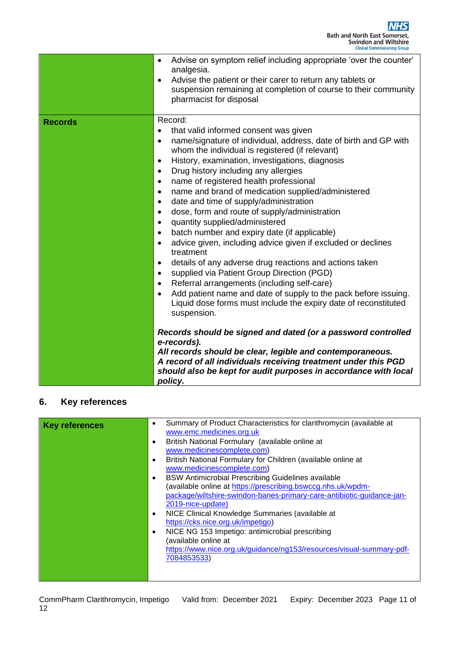|                | Advise on symptom relief including appropriate 'over the counter'<br>$\bullet$<br>analgesia.<br>Advise the patient or their carer to return any tablets or<br>$\bullet$<br>suspension remaining at completion of course to their community<br>pharmacist for disposal                                                                                                                                                                                                                                                                                                                                                                                                                                                                                                                                                                                                                                                                                                                                                                                                                                                                        |
|----------------|----------------------------------------------------------------------------------------------------------------------------------------------------------------------------------------------------------------------------------------------------------------------------------------------------------------------------------------------------------------------------------------------------------------------------------------------------------------------------------------------------------------------------------------------------------------------------------------------------------------------------------------------------------------------------------------------------------------------------------------------------------------------------------------------------------------------------------------------------------------------------------------------------------------------------------------------------------------------------------------------------------------------------------------------------------------------------------------------------------------------------------------------|
| <b>Records</b> | Record:<br>that valid informed consent was given<br>$\bullet$<br>name/signature of individual, address, date of birth and GP with<br>$\bullet$<br>whom the individual is registered (if relevant)<br>History, examination, investigations, diagnosis<br>$\bullet$<br>Drug history including any allergies<br>$\bullet$<br>name of registered health professional<br>$\bullet$<br>name and brand of medication supplied/administered<br>$\bullet$<br>date and time of supply/administration<br>$\bullet$<br>dose, form and route of supply/administration<br>$\bullet$<br>quantity supplied/administered<br>$\bullet$<br>batch number and expiry date (if applicable)<br>$\bullet$<br>advice given, including advice given if excluded or declines<br>$\bullet$<br>treatment<br>details of any adverse drug reactions and actions taken<br>$\bullet$<br>supplied via Patient Group Direction (PGD)<br>$\bullet$<br>Referral arrangements (including self-care)<br>$\bullet$<br>Add patient name and date of supply to the pack before issuing.<br>$\bullet$<br>Liquid dose forms must include the expiry date of reconstituted<br>suspension. |
|                | Records should be signed and dated (or a password controlled<br>e-records).<br>All records should be clear, legible and contemporaneous.<br>A record of all individuals receiving treatment under this PGD<br>should also be kept for audit purposes in accordance with local<br>policy.                                                                                                                                                                                                                                                                                                                                                                                                                                                                                                                                                                                                                                                                                                                                                                                                                                                     |

# **6. Key references**

| <b>Key references</b> | Summary of Product Characteristics for clarithromycin (available at<br>$\bullet$<br>www.emc.medicines.org.uk |
|-----------------------|--------------------------------------------------------------------------------------------------------------|
|                       | British National Formulary (available online at<br>$\bullet$<br>www.medicinescomplete.com)                   |
|                       | British National Formulary for Children (available online at<br>$\bullet$                                    |
|                       | www.medicinescomplete.com)                                                                                   |
|                       | <b>BSW Antimicrobial Prescribing Guidelines available</b><br>$\bullet$                                       |
|                       | (available online at https://prescribing.bswccg.nhs.uk/wpdm-                                                 |
|                       | package/wiltshire-swindon-banes-primary-care-antibiotic-guidance-jan-                                        |
|                       | 2019-nice-update)                                                                                            |
|                       | NICE Clinical Knowledge Summaries (available at<br>$\bullet$                                                 |
|                       | https://cks.nice.org.uk/impetigo)                                                                            |
|                       | NICE NG 153 Impetigo: antimicrobial prescribing<br>$\bullet$                                                 |
|                       | (available online at                                                                                         |
|                       | https://www.nice.org.uk/guidance/ng153/resources/visual-summary-pdf-                                         |
|                       | 7084853533)                                                                                                  |
|                       |                                                                                                              |
|                       |                                                                                                              |